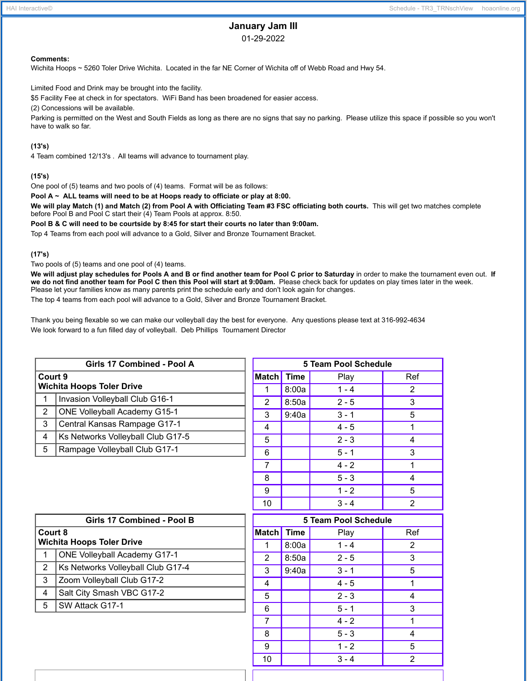# **January Jam III**

01-29-2022

#### **Comments:**

Wichita Hoops ~ 5260 Toler Drive Wichita. Located in the far NE Corner of Wichita off of Webb Road and Hwy 54.

Limited Food and Drink may be brought into the facility.

\$5 Facility Fee at check in for spectators. WiFi Band has been broadened for easier access.

(2) Concessions will be available.

Parking is permitted on the West and South Fields as long as there are no signs that say no parking. Please utilize this space if possible so you won't have to walk so far.

## **(13's)**

4 Team combined 12/13's . All teams will advance to tournament play.

## **(15's)**

One pool of (5) teams and two pools of (4) teams. Format will be as follows:

**Pool A ~ ALL teams will need to be at Hoops ready to officiate or play at 8:00.**

We will play Match (1) and Match (2) from Pool A with Officiating Team #3 FSC officiating both courts. This will get two matches complete before Pool B and Pool C start their (4) Team Pools at approx. 8:50.

**Pool B & C will need to be courtside by 8:45 for start their courts no later than 9:00am.**

Top 4 Teams from each pool will advance to a Gold, Silver and Bronze Tournament Bracket.

### **(17's)**

Two pools of (5) teams and one pool of (4) teams.

We will adjust play schedules for Pools A and B or find another team for Pool C prior to Saturday in order to make the tournament even out. If we do not find another team for Pool C then this Pool will start at 9:00am. Please check back for updates on play times later in the week. Please let your families know as many parents print the schedule early and don't look again for changes.

The top 4 teams from each pool will advance to a Gold, Silver and Bronze Tournament Bracket.

Thank you being flexable so we can make our volleyball day the best for everyone. Any questions please text at 316-992-4634 We look forward to a fun filled day of volleyball. Deb Phillips Tournament Director

| Girls 17 Combined - Pool A                  |                                     |  |  |
|---------------------------------------------|-------------------------------------|--|--|
| Court 9<br><b>Wichita Hoops Toler Drive</b> |                                     |  |  |
| 1                                           | Invasion Volleyball Club G16-1      |  |  |
| $\overline{2}$                              | <b>ONE Volleyball Academy G15-1</b> |  |  |
| 3                                           | Central Kansas Rampage G17-1        |  |  |
| 4                                           | Ks Networks Volleyball Club G17-5   |  |  |
| 5                                           | Rampage Volleyball Club G17-1       |  |  |
|                                             |                                     |  |  |

| 5 Team Pool Schedule |             |         |     |  |  |  |
|----------------------|-------------|---------|-----|--|--|--|
| <b>Match</b>         | <b>Time</b> | Play    | Ref |  |  |  |
|                      | 8:00a       | $1 - 4$ | 2   |  |  |  |
| $\overline{2}$       | 8:50a       | $2 - 5$ | 3   |  |  |  |
| 3                    | 9:40a       | $3 - 1$ | 5   |  |  |  |
| 4                    |             | $4 - 5$ | 1   |  |  |  |
| 5                    |             | $2 - 3$ | 4   |  |  |  |
| 6                    |             | $5 - 1$ | 3   |  |  |  |
| 7                    |             | $4 - 2$ | 1   |  |  |  |
| 8                    |             | $5 - 3$ | 4   |  |  |  |
| 9                    |             | $1 - 2$ | 5   |  |  |  |
| 10                   |             | $3 - 4$ | 2   |  |  |  |

| Girls 17 Combined - Pool B                  |                                     |  |  |
|---------------------------------------------|-------------------------------------|--|--|
| Court 8<br><b>Wichita Hoops Toler Drive</b> |                                     |  |  |
| 1                                           | <b>ONE Volleyball Academy G17-1</b> |  |  |
| $\overline{2}$                              | Ks Networks Volleyball Club G17-4   |  |  |
| 3                                           | Zoom Volleyball Club G17-2          |  |  |
| 4                                           | Salt City Smash VBC G17-2           |  |  |
| 5                                           | SW Attack G17-1                     |  |  |

| 5 Team Pool Schedule |             |         |     |  |  |  |  |
|----------------------|-------------|---------|-----|--|--|--|--|
| Match                | <b>Time</b> | Play    | Ref |  |  |  |  |
| 1                    | 8:00a       | $1 - 4$ | 2   |  |  |  |  |
| 2                    | 8:50a       | $2 - 5$ | 3   |  |  |  |  |
| 3                    | 9:40a       | $3 - 1$ | 5   |  |  |  |  |
| 4                    |             | $4 - 5$ | 1   |  |  |  |  |
| 5                    |             | $2 - 3$ | 4   |  |  |  |  |
| 6                    |             | $5 - 1$ | 3   |  |  |  |  |
| 7                    |             | $4 - 2$ | 1   |  |  |  |  |
| 8                    |             | $5 - 3$ | 4   |  |  |  |  |
| 9                    |             | $1 - 2$ | 5   |  |  |  |  |
| 10                   |             | $3 - 4$ | 2   |  |  |  |  |